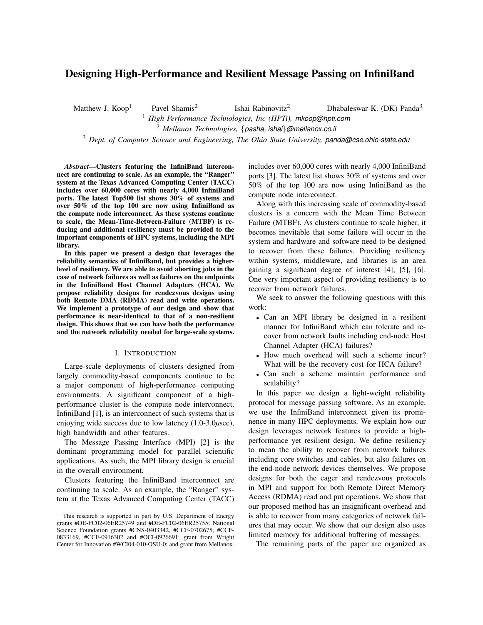# Designing High-Performance and Resilient Message Passing on InfiniBand

Matthew J.  $Koop<sup>1</sup>$  Pavel Shamis<sup>2</sup> Ishai Rabinovitz<sup>2</sup> Dhabaleswar K. (DK) Panda<sup>3</sup>

<sup>1</sup> *High Performance Technologies, Inc (HPTi), mkoop@hpti.com*

<sup>2</sup> *Mellanox Technologies,* {*pasha, ishai*}*@mellanox.co.il*

<sup>3</sup> *Dept. of Computer Science and Engineering, The Ohio State University, panda@cse.ohio-state.edu*

*Abstract*—Clusters featuring the InfiniBand interconnect are continuing to scale. As an example, the "Ranger" system at the Texas Advanced Computing Center (TACC) includes over 60,000 cores with nearly 4,000 InfiniBand ports. The latest Top500 list shows 30% of systems and over 50% of the top 100 are now using InfiniBand as the compute node interconnect. As these systems continue to scale, the Mean-Time-Between-Failure (MTBF) is reducing and additional resiliency must be provided to the important components of HPC systems, including the MPI library.

In this paper we present a design that leverages the reliability semantics of InfiniBand, but provides a higherlevel of resiliency. We are able to avoid aborting jobs in the case of network failures as well as failures on the endpoints in the InfiniBand Host Channel Adapters (HCA). We propose reliability designs for rendezvous designs using both Remote DMA (RDMA) read and write operations. We implement a prototype of our design and show that performance is near-identical to that of a non-resilient design. This shows that we can have both the performance and the network reliability needed for large-scale systems.

#### I. INTRODUCTION

Large-scale deployments of clusters designed from largely commodity-based components continue to be a major component of high-performance computing environments. A significant component of a highperformance cluster is the compute node interconnect. InfiniBand [1], is an interconnect of such systems that is enjoying wide success due to low latency (1.0-3.0*µ*sec), high bandwidth and other features.

The Message Passing Interface (MPI) [2] is the dominant programming model for parallel scientific applications. As such, the MPI library design is crucial in the overall environment.

Clusters featuring the InfiniBand interconnect are continuing to scale. As an example, the "Ranger" system at the Texas Advanced Computing Center (TACC)

includes over 60,000 cores with nearly 4,000 InfiniBand ports [3]. The latest list shows 30% of systems and over 50% of the top 100 are now using InfiniBand as the compute node interconnect.

Along with this increasing scale of commodity-based clusters is a concern with the Mean Time Between Failure (MTBF). As clusters continue to scale higher, it becomes inevitable that some failure will occur in the system and hardware and software need to be designed to recover from these failures. Providing resiliency within systems, middleware, and libraries is an area gaining a significant degree of interest [4], [5], [6]. One very important aspect of providing resiliency is to recover from network failures.

We seek to answer the following questions with this work:

- Can an MPI library be designed in a resilient manner for InfiniBand which can tolerate and recover from network faults including end-node Host Channel Adapter (HCA) failures?
- How much overhead will such a scheme incur? What will be the recovery cost for HCA failure?
- Can such a scheme maintain performance and scalability?

In this paper we design a light-weight reliability protocol for message passing software. As an example, we use the InfiniBand interconnect given its prominence in many HPC deployments. We explain how our design leverages network features to provide a highperformance yet resilient design. We define resiliency to mean the ability to recover from network failures including core switches and cables, but also failures on the end-node network devices themselves. We propose designs for both the eager and rendezvous protocols in MPI and support for both Remote Direct Memory Access (RDMA) read and put operations. We show that our proposed method has an insignificant overhead and is able to recover from many categories of network failures that may occur. We show that our design also uses limited memory for additional buffering of messages.

The remaining parts of the paper are organized as

This research is supported in part by U.S. Department of Energy grants #DE-FC02-06ER25749 and #DE-FC02-06ER25755; National Science Foundation grants #CNS-0403342, #CCF-0702675, #CCF-0833169, #CCF-0916302 and #OCI-0926691; grant from Wright Center for Innovation #WCI04-010-OSU-0; and grant from Mellanox.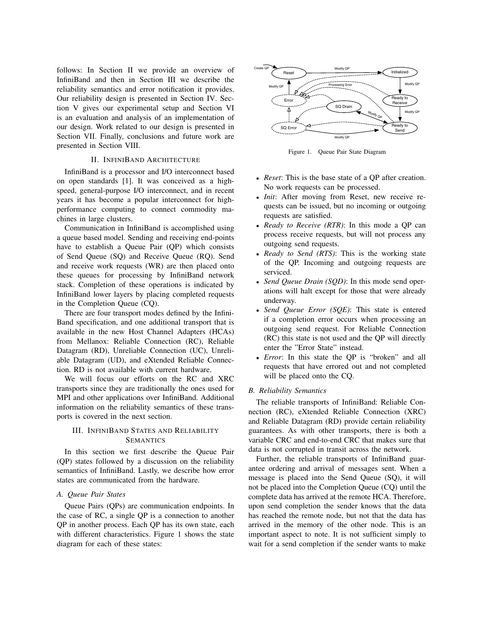follows: In Section II we provide an overview of InfiniBand and then in Section III we describe the reliability semantics and error notification it provides. Our reliability design is presented in Section IV. Section V gives our experimental setup and Section VI is an evaluation and analysis of an implementation of our design. Work related to our design is presented in Section VII. Finally, conclusions and future work are presented in Section VIII.

### II. INFINIBAND ARCHITECTURE

InfiniBand is a processor and I/O interconnect based on open standards [1]. It was conceived as a highspeed, general-purpose I/O interconnect, and in recent years it has become a popular interconnect for highperformance computing to connect commodity machines in large clusters.

Communication in InfiniBand is accomplished using a queue based model. Sending and receiving end-points have to establish a Queue Pair (QP) which consists of Send Queue (SQ) and Receive Queue (RQ). Send and receive work requests (WR) are then placed onto these queues for processing by InfiniBand network stack. Completion of these operations is indicated by InfiniBand lower layers by placing completed requests in the Completion Queue (CQ).

There are four transport modes defined by the Infini-Band specification, and one additional transport that is available in the new Host Channel Adapters (HCAs) from Mellanox: Reliable Connection (RC), Reliable Datagram (RD), Unreliable Connection (UC), Unreliable Datagram (UD), and eXtended Reliable Connection. RD is not available with current hardware.

We will focus our efforts on the RC and XRC transports since they are traditionally the ones used for MPI and other applications over InfiniBand. Additional information on the reliability semantics of these transports is covered in the next section.

### III. INFINIBAND STATES AND RELIABILITY **SEMANTICS**

In this section we first describe the Queue Pair (QP) states followed by a discussion on the reliability semantics of InfiniBand. Lastly, we describe how error states are communicated from the hardware.

# *A. Queue Pair States*

Queue Pairs (QPs) are communication endpoints. In the case of RC, a single QP is a connection to another QP in another process. Each QP has its own state, each with different characteristics. Figure 1 shows the state diagram for each of these states:



Figure 1. Queue Pair State Diagram

- *Reset*: This is the base state of a QP after creation. No work requests can be processed.
- *Init*: After moving from Reset, new receive requests can be issued, but no incoming or outgoing requests are satisfied.
- *Ready to Receive (RTR)*: In this mode a QP can process receive requests, but will not process any outgoing send requests.
- *Ready to Send (RTS)*: This is the working state of the QP. Incoming and outgoing requests are serviced.
- *Send Queue Drain (SQD)*: In this mode send operations will halt except for those that were already underway.
- *Send Queue Error (SQE)*: This state is entered if a completion error occurs when processing an outgoing send request. For Reliable Connection (RC) this state is not used and the QP will directly enter the "Error State" instead.
- *Error*: In this state the QP is "broken" and all requests that have errored out and not completed will be placed onto the CQ.

# *B. Reliability Semantics*

The reliable transports of InfiniBand: Reliable Connection (RC), eXtended Reliable Connection (XRC) and Reliable Datagram (RD) provide certain reliability guarantees. As with other transports, there is both a variable CRC and end-to-end CRC that makes sure that data is not corrupted in transit across the network.

Further, the reliable transports of InfiniBand guarantee ordering and arrival of messages sent. When a message is placed into the Send Queue (SQ), it will not be placed into the Completion Queue (CQ) until the complete data has arrived at the remote HCA. Therefore, upon send completion the sender knows that the data has reached the remote node, but not that the data has arrived in the memory of the other node. This is an important aspect to note. It is not sufficient simply to wait for a send completion if the sender wants to make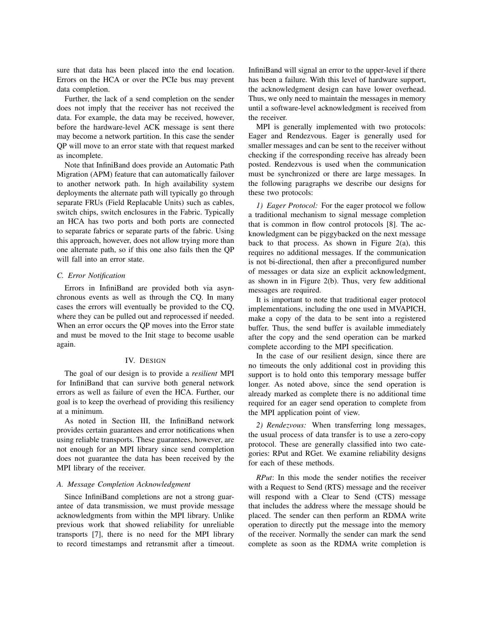sure that data has been placed into the end location. Errors on the HCA or over the PCIe bus may prevent data completion.

Further, the lack of a send completion on the sender does not imply that the receiver has not received the data. For example, the data may be received, however, before the hardware-level ACK message is sent there may become a network partition. In this case the sender QP will move to an error state with that request marked as incomplete.

Note that InfiniBand does provide an Automatic Path Migration (APM) feature that can automatically failover to another network path. In high availability system deployments the alternate path will typically go through separate FRUs (Field Replacable Units) such as cables, switch chips, switch enclosures in the Fabric. Typically an HCA has two ports and both ports are connected to separate fabrics or separate parts of the fabric. Using this approach, however, does not allow trying more than one alternate path, so if this one also fails then the QP will fall into an error state.

# *C. Error Notification*

Errors in InfiniBand are provided both via asynchronous events as well as through the CQ. In many cases the errors will eventually be provided to the CQ, where they can be pulled out and reprocessed if needed. When an error occurs the QP moves into the Error state and must be moved to the Init stage to become usable again.

### IV. DESIGN

The goal of our design is to provide a *resilient* MPI for InfiniBand that can survive both general network errors as well as failure of even the HCA. Further, our goal is to keep the overhead of providing this resiliency at a minimum.

As noted in Section III, the InfiniBand network provides certain guarantees and error notifications when using reliable transports. These guarantees, however, are not enough for an MPI library since send completion does not guarantee the data has been received by the MPI library of the receiver.

#### *A. Message Completion Acknowledgment*

Since InfiniBand completions are not a strong guarantee of data transmission, we must provide message acknowledgments from within the MPI library. Unlike previous work that showed reliability for unreliable transports [7], there is no need for the MPI library to record timestamps and retransmit after a timeout. InfiniBand will signal an error to the upper-level if there has been a failure. With this level of hardware support, the acknowledgment design can have lower overhead. Thus, we only need to maintain the messages in memory until a software-level acknowledgment is received from the receiver.

MPI is generally implemented with two protocols: Eager and Rendezvous. Eager is generally used for smaller messages and can be sent to the receiver without checking if the corresponding receive has already been posted. Rendezvous is used when the communication must be synchronized or there are large messages. In the following paragraphs we describe our designs for these two protocols:

*1) Eager Protocol:* For the eager protocol we follow a traditional mechanism to signal message completion that is common in flow control protocols [8]. The acknowledgment can be piggybacked on the next message back to that process. As shown in Figure  $2(a)$ , this requires no additional messages. If the communication is not bi-directional, then after a preconfigured number of messages or data size an explicit acknowledgment, as shown in in Figure 2(b). Thus, very few additional messages are required.

It is important to note that traditional eager protocol implementations, including the one used in MVAPICH, make a copy of the data to be sent into a registered buffer. Thus, the send buffer is available immediately after the copy and the send operation can be marked complete according to the MPI specification.

In the case of our resilient design, since there are no timeouts the only additional cost in providing this support is to hold onto this temporary message buffer longer. As noted above, since the send operation is already marked as complete there is no additional time required for an eager send operation to complete from the MPI application point of view.

*2) Rendezvous:* When transferring long messages, the usual process of data transfer is to use a zero-copy protocol. These are generally classified into two categories: RPut and RGet. We examine reliability designs for each of these methods.

*RPut*: In this mode the sender notifies the receiver with a Request to Send (RTS) message and the receiver will respond with a Clear to Send (CTS) message that includes the address where the message should be placed. The sender can then perform an RDMA write operation to directly put the message into the memory of the receiver. Normally the sender can mark the send complete as soon as the RDMA write completion is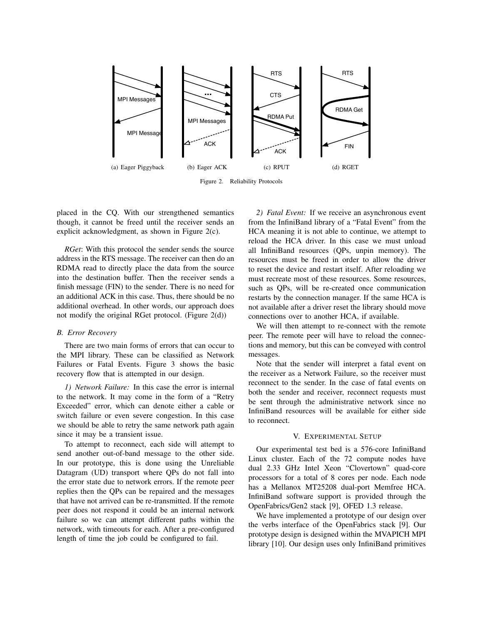

Figure 2. Reliability Protocols

placed in the CQ. With our strengthened semantics though, it cannot be freed until the receiver sends an explicit acknowledgment, as shown in Figure 2(c).

*RGet*: With this protocol the sender sends the source address in the RTS message. The receiver can then do an RDMA read to directly place the data from the source into the destination buffer. Then the receiver sends a finish message (FIN) to the sender. There is no need for an additional ACK in this case. Thus, there should be no additional overhead. In other words, our approach does not modify the original RGet protocol. (Figure 2(d))

### *B. Error Recovery*

There are two main forms of errors that can occur to the MPI library. These can be classified as Network Failures or Fatal Events. Figure 3 shows the basic recovery flow that is attempted in our design.

*1) Network Failure:* In this case the error is internal to the network. It may come in the form of a "Retry Exceeded" error, which can denote either a cable or switch failure or even severe congestion. In this case we should be able to retry the same network path again since it may be a transient issue.

To attempt to reconnect, each side will attempt to send another out-of-band message to the other side. In our prototype, this is done using the Unreliable Datagram (UD) transport where QPs do not fall into the error state due to network errors. If the remote peer replies then the QPs can be repaired and the messages that have not arrived can be re-transmitted. If the remote peer does not respond it could be an internal network failure so we can attempt different paths within the network, with timeouts for each. After a pre-configured length of time the job could be configured to fail.

*2) Fatal Event:* If we receive an asynchronous event from the InfiniBand library of a "Fatal Event" from the HCA meaning it is not able to continue, we attempt to reload the HCA driver. In this case we must unload all InfiniBand resources (QPs, unpin memory). The resources must be freed in order to allow the driver to reset the device and restart itself. After reloading we must recreate most of these resources. Some resources, such as QPs, will be re-created once communication restarts by the connection manager. If the same HCA is not available after a driver reset the library should move connections over to another HCA, if available.

We will then attempt to re-connect with the remote peer. The remote peer will have to reload the connections and memory, but this can be conveyed with control messages.

Note that the sender will interpret a fatal event on the receiver as a Network Failure, so the receiver must reconnect to the sender. In the case of fatal events on both the sender and receiver, reconnect requests must be sent through the administrative network since no InfiniBand resources will be available for either side to reconnect.

# V. EXPERIMENTAL SETUP

Our experimental test bed is a 576-core InfiniBand Linux cluster. Each of the 72 compute nodes have dual 2.33 GHz Intel Xeon "Clovertown" quad-core processors for a total of 8 cores per node. Each node has a Mellanox MT25208 dual-port Memfree HCA. InfiniBand software support is provided through the OpenFabrics/Gen2 stack [9], OFED 1.3 release.

We have implemented a prototype of our design over the verbs interface of the OpenFabrics stack [9]. Our prototype design is designed within the MVAPICH MPI library [10]. Our design uses only InfiniBand primitives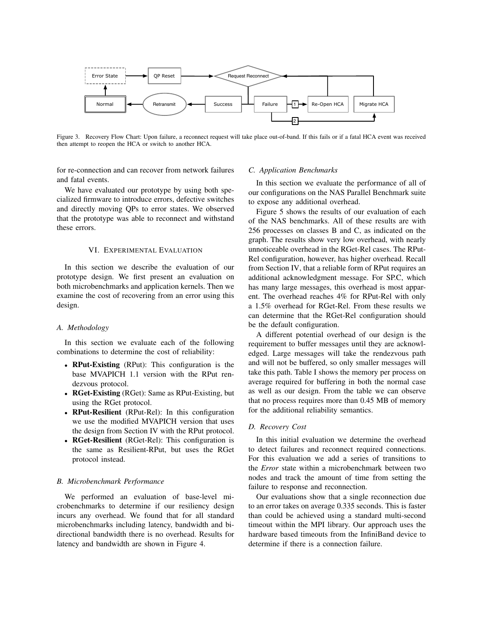

Figure 3. Recovery Flow Chart: Upon failure, a reconnect request will take place out-of-band. If this fails or if a fatal HCA event was received then attempt to reopen the HCA or switch to another HCA.

for re-connection and can recover from network failures and fatal events.

We have evaluated our prototype by using both specialized firmware to introduce errors, defective switches and directly moving QPs to error states. We observed that the prototype was able to reconnect and withstand these errors.

#### VI. EXPERIMENTAL EVALUATION

In this section we describe the evaluation of our prototype design. We first present an evaluation on both microbenchmarks and application kernels. Then we examine the cost of recovering from an error using this design.

#### *A. Methodology*

In this section we evaluate each of the following combinations to determine the cost of reliability:

- RPut-Existing (RPut): This configuration is the base MVAPICH 1.1 version with the RPut rendezvous protocol.
- **RGet-Existing** (RGet): Same as RPut-Existing, but using the RGet protocol.
- **RPut-Resilient** (RPut-Rel): In this configuration we use the modified MVAPICH version that uses the design from Section IV with the RPut protocol.
- RGet-Resilient (RGet-Rel): This configuration is the same as Resilient-RPut, but uses the RGet protocol instead.

### *B. Microbenchmark Performance*

We performed an evaluation of base-level microbenchmarks to determine if our resiliency design incurs any overhead. We found that for all standard microbenchmarks including latency, bandwidth and bidirectional bandwidth there is no overhead. Results for latency and bandwidth are shown in Figure 4.

#### *C. Application Benchmarks*

In this section we evaluate the performance of all of our configurations on the NAS Parallel Benchmark suite to expose any additional overhead.

Figure 5 shows the results of our evaluation of each of the NAS benchmarks. All of these results are with 256 processes on classes B and C, as indicated on the graph. The results show very low overhead, with nearly unnoticeable overhead in the RGet-Rel cases. The RPut-Rel configuration, however, has higher overhead. Recall from Section IV, that a reliable form of RPut requires an additional acknowledgment message. For SP.C, which has many large messages, this overhead is most apparent. The overhead reaches 4% for RPut-Rel with only a 1.5% overhead for RGet-Rel. From these results we can determine that the RGet-Rel configuration should be the default configuration.

A different potential overhead of our design is the requirement to buffer messages until they are acknowledged. Large messages will take the rendezvous path and will not be buffered, so only smaller messages will take this path. Table I shows the memory per process on average required for buffering in both the normal case as well as our design. From the table we can observe that no process requires more than 0.45 MB of memory for the additional reliability semantics.

### *D. Recovery Cost*

In this initial evaluation we determine the overhead to detect failures and reconnect required connections. For this evaluation we add a series of transitions to the *Error* state within a microbenchmark between two nodes and track the amount of time from setting the failure to response and reconnection.

Our evaluations show that a single reconnection due to an error takes on average 0.335 seconds. This is faster than could be achieved using a standard multi-second timeout within the MPI library. Our approach uses the hardware based timeouts from the InfiniBand device to determine if there is a connection failure.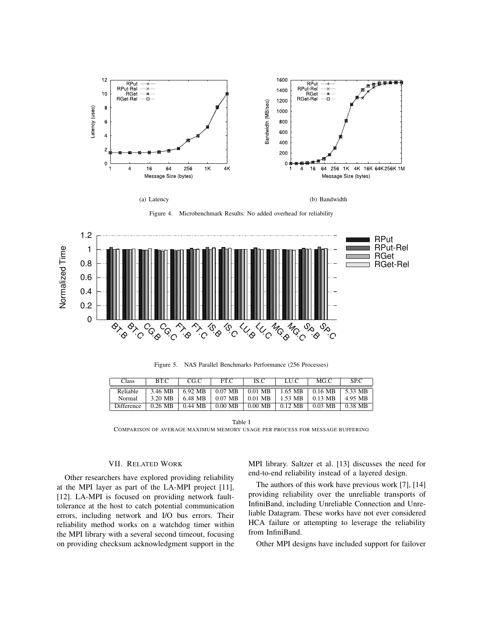





Figure 5. NAS Parallel Benchmarks Performance (256 Processes)

| Class      | BT.C      | CG.C       | FT.C      | IS.C      | LUC               | MG.C              | SP.C      |
|------------|-----------|------------|-----------|-----------|-------------------|-------------------|-----------|
| Reliable   | 3.46 MB   | 6.92 MB    | $0.07$ MB | $0.01$ MB | .65 MB            | $0.16$ MB         | 5.33 MB   |
| Normal     | 3.20 MB   | 6.48 MB    | $0.07$ MB | $0.01$ MB | .53 MB            | $0.13 \text{ MB}$ | 4.95 MB   |
| Difference | $0.26$ MB | ).44<br>MВ | $0.00$ MB | $0.00$ MB | $0.12 \text{ MB}$ | $0.03$ MB         | $0.38$ MB |

Table I COMPARISON OF AVERAGE MAXIMUM MEMORY USAGE PER PROCESS FOR MESSAGE BUFFERING

# VII. RELATED WORK

Other researchers have explored providing reliability at the MPI layer as part of the LA-MPI project [11], [12]. LA-MPI is focused on providing network faulttolerance at the host to catch potential communication errors, including network and I/O bus errors. Their reliability method works on a watchdog timer within the MPI library with a several second timeout, focusing on providing checksum acknowledgment support in the MPI library. Saltzer et al. [13] discusses the need for end-to-end reliability instead of a layered design.

The authors of this work have previous work [7], [14] providing reliability over the unreliable transports of InfiniBand, including Unreliable Connection and Unreliable Datagram. These works have not ever considered HCA failure or attempting to leverage the reliability from InfiniBand.

Other MPI designs have included support for failover